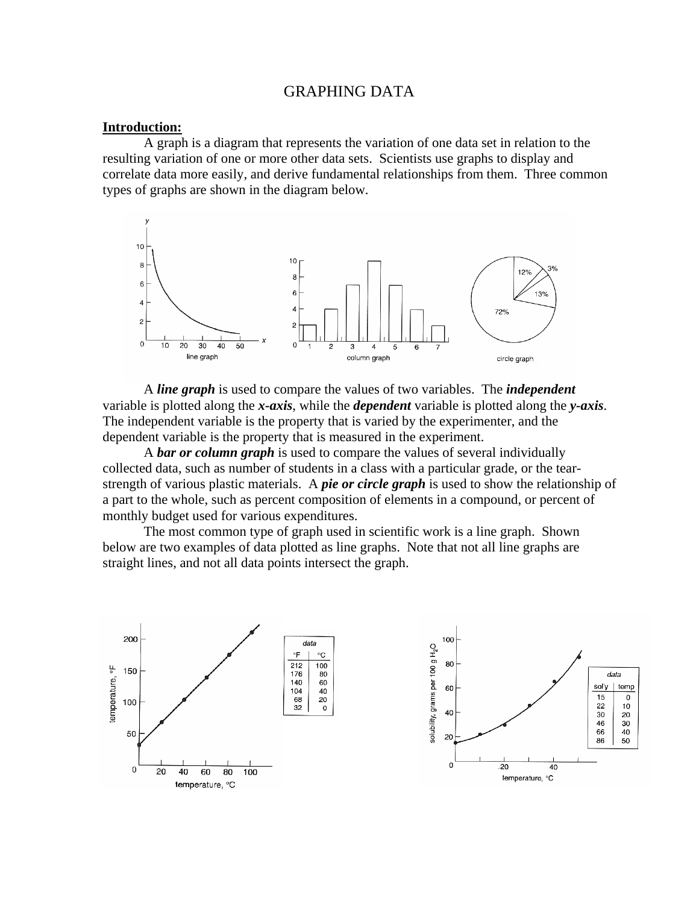## GRAPHING DATA

#### **Introduction:**

 A graph is a diagram that represents the variation of one data set in relation to the resulting variation of one or more other data sets. Scientists use graphs to display and correlate data more easily, and derive fundamental relationships from them. Three common types of graphs are shown in the diagram below.



 A *line graph* is used to compare the values of two variables. The *independent*  variable is plotted along the *x-axis*, while the *dependent* variable is plotted along the *y-axis*. The independent variable is the property that is varied by the experimenter, and the dependent variable is the property that is measured in the experiment.

 A *bar or column graph* is used to compare the values of several individually collected data, such as number of students in a class with a particular grade, or the tearstrength of various plastic materials. A *pie or circle graph* is used to show the relationship of a part to the whole, such as percent composition of elements in a compound, or percent of monthly budget used for various expenditures.

The most common type of graph used in scientific work is a line graph. Shown below are two examples of data plotted as line graphs. Note that not all line graphs are straight lines, and not all data points intersect the graph.

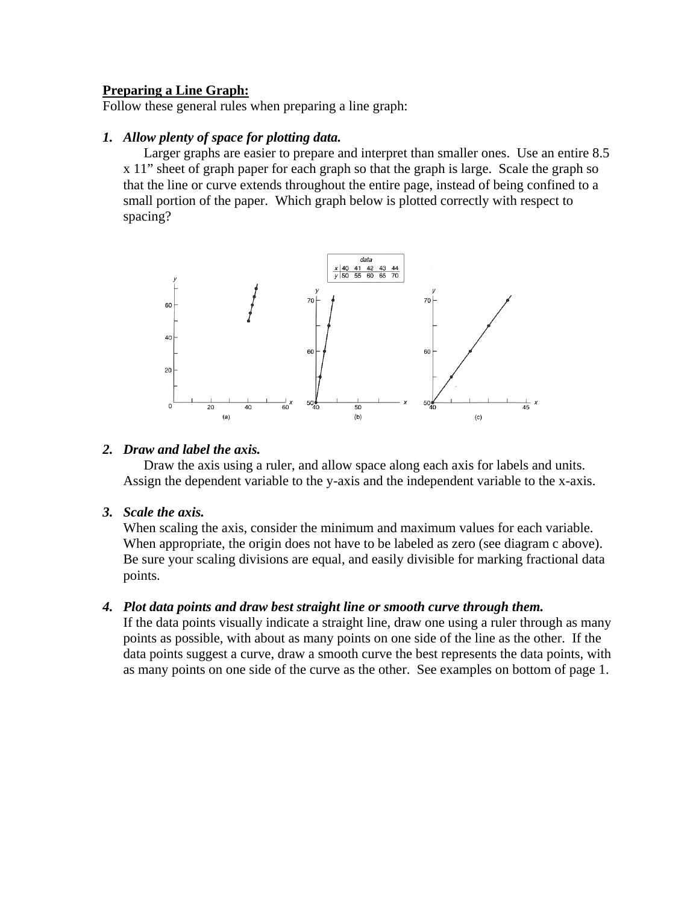# **Preparing a Line Graph:**

Follow these general rules when preparing a line graph:

# *1. Allow plenty of space for plotting data.*

Larger graphs are easier to prepare and interpret than smaller ones. Use an entire 8.5 x 11" sheet of graph paper for each graph so that the graph is large. Scale the graph so that the line or curve extends throughout the entire page, instead of being confined to a small portion of the paper. Which graph below is plotted correctly with respect to spacing?



#### *2. Draw and label the axis.*

Draw the axis using a ruler, and allow space along each axis for labels and units. Assign the dependent variable to the y-axis and the independent variable to the x-axis.

## *3. Scale the axis.*

When scaling the axis, consider the minimum and maximum values for each variable. When appropriate, the origin does not have to be labeled as zero (see diagram c above). Be sure your scaling divisions are equal, and easily divisible for marking fractional data points.

## *4. Plot data points and draw best straight line or smooth curve through them.*

If the data points visually indicate a straight line, draw one using a ruler through as many points as possible, with about as many points on one side of the line as the other. If the data points suggest a curve, draw a smooth curve the best represents the data points, with as many points on one side of the curve as the other. See examples on bottom of page 1.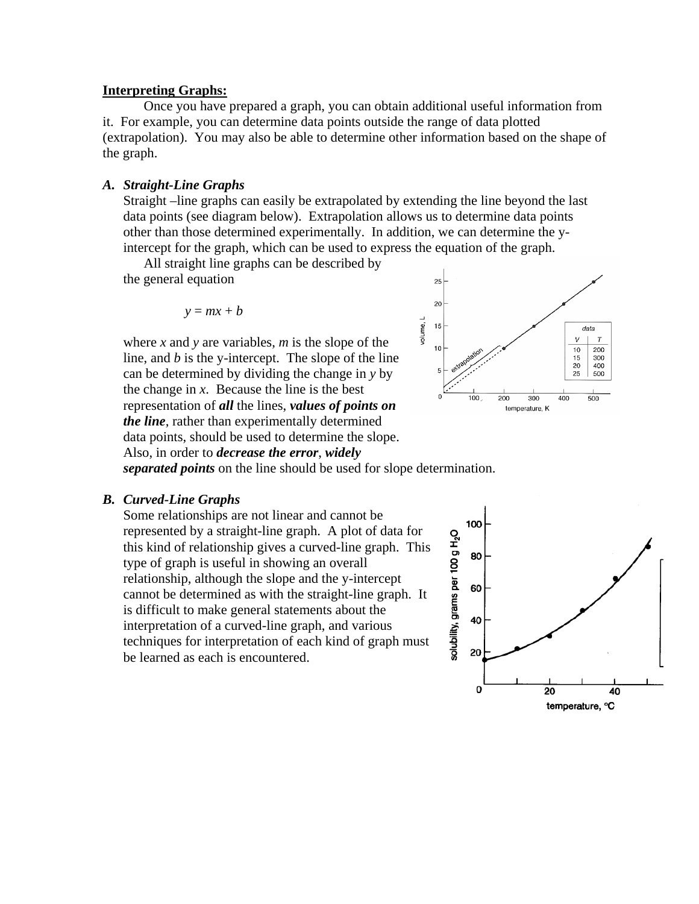#### **Interpreting Graphs:**

Once you have prepared a graph, you can obtain additional useful information from it. For example, you can determine data points outside the range of data plotted (extrapolation). You may also be able to determine other information based on the shape of the graph.

#### *A. Straight-Line Graphs*

Straight –line graphs can easily be extrapolated by extending the line beyond the last data points (see diagram below). Extrapolation allows us to determine data points other than those determined experimentally. In addition, we can determine the yintercept for the graph, which can be used to express the equation of the graph.

 All straight line graphs can be described by the general equation

$$
y = mx + b
$$

where *x* and *y* are variables, *m* is the slope of the line, and *b* is the y-intercept. The slope of the line can be determined by dividing the change in *y* by the change in *x*. Because the line is the best representation of *all* the lines, *values of points on the line*, rather than experimentally determined data points, should be used to determine the slope. Also, in order to *decrease the error*, *widely* 



*separated points* on the line should be used for slope determination.

#### *B. Curved-Line Graphs*

Some relationships are not linear and cannot be represented by a straight-line graph. A plot of data for this kind of relationship gives a curved-line graph. This type of graph is useful in showing an overall relationship, although the slope and the y-intercept cannot be determined as with the straight-line graph. It is difficult to make general statements about the interpretation of a curved-line graph, and various techniques for interpretation of each kind of graph must be learned as each is encountered.